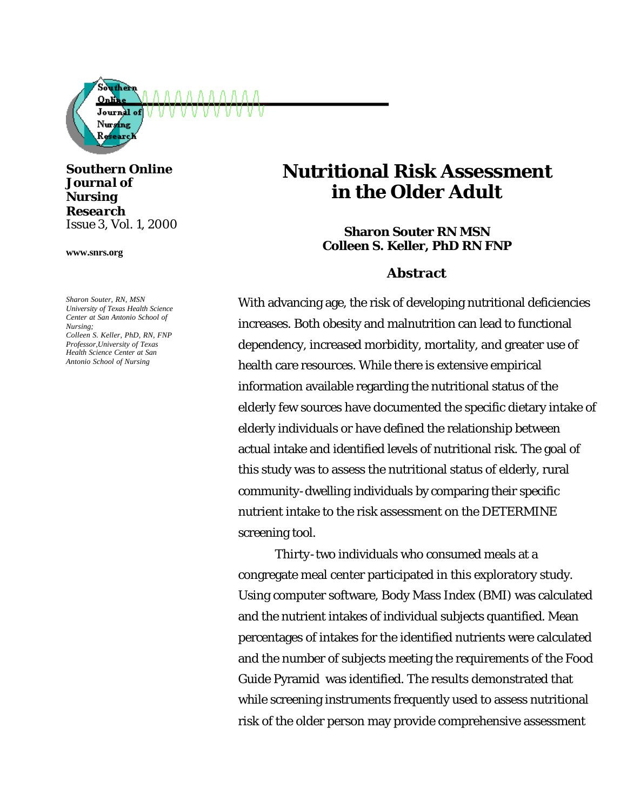

*Southern Online Journal of Nursing Research Issue 3, Vol. 1, 2000*

**www.snrs.org**

*Sharon Souter, RN, MSN University of Texas Health Science Center at San Antonio School of Nursing; Colleen S. Keller, PhD, RN, FNP Professor,University of Texas Health Science Center at San Antonio School of Nursing*

# **Nutritional Risk Assessment in the Older Adult**

**Sharon Souter RN MSN Colleen S. Keller, PhD RN FNP**

### **Abstract**

With advancing age, the risk of developing nutritional deficiencies increases. Both obesity and malnutrition can lead to functional dependency, increased morbidity, mortality, and greater use of health care resources. While there is extensive empirical information available regarding the nutritional status of the elderly few sources have documented the specific dietary intake of elderly individuals or have defined the relationship between actual intake and identified levels of nutritional risk. The goal of this study was to assess the nutritional status of elderly, rural community-dwelling individuals by comparing their specific nutrient intake to the risk assessment on the DETERMINE screening tool.

Thirty-two individuals who consumed meals at a congregate meal center participated in this exploratory study. Using computer software, Body Mass Index (BMI) was calculated and the nutrient intakes of individual subjects quantified. Mean percentages of intakes for the identified nutrients were calculated and the number of subjects meeting the requirements of the Food Guide Pyramid was identified. The results demonstrated that while screening instruments frequently used to assess nutritional risk of the older person may provide comprehensive assessment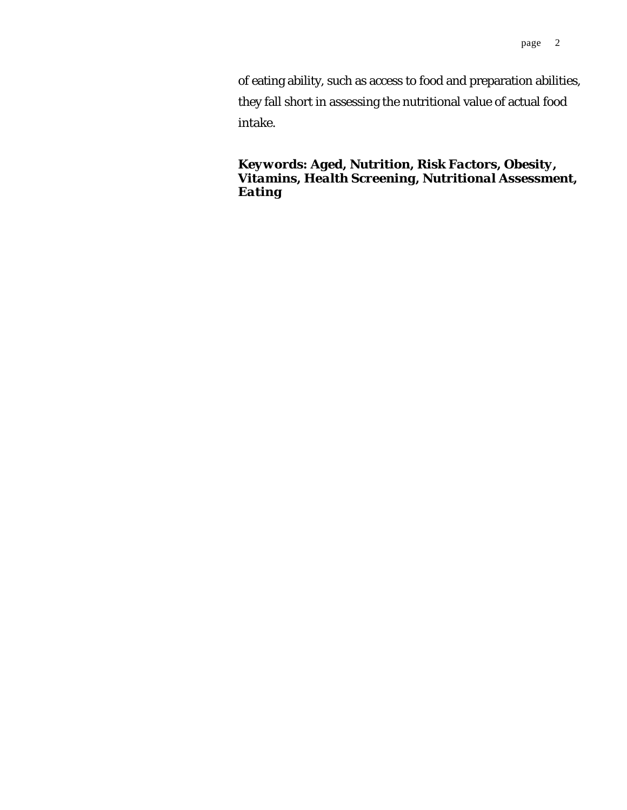of eating ability, such as access to food and preparation abilities, they fall short in assessing the nutritional value of actual food intake.

## *Keywords: Aged, Nutrition, Risk Factors, Obesity, Vitamins, Health Screening, Nutritional Assessment, Eating*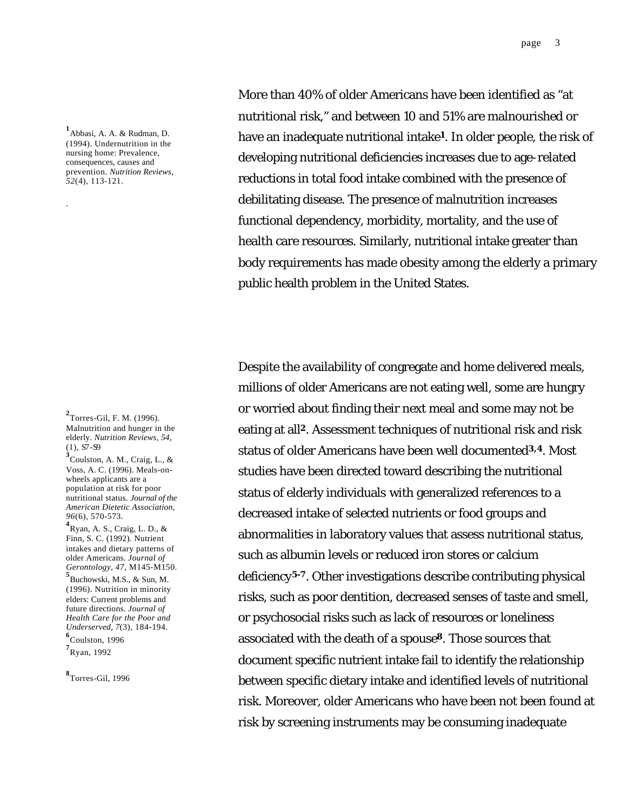**1** Abbasi, A. A. & Rudman, D. (1994). Undernutrition in the nursing home: Prevalence, consequences, causes and prevention. *Nutrition Reviews, 52*(4), 113-121.

.

**3** Coulston, A. M., Craig, L., & Voss, A. C. (1996). Meals-onwheels applicants are a population at risk for poor nutritional status. *Journal of the American Dietetic Association, 96*(6), 570-573.

**4** Ryan, A. S., Craig, L. D., & Finn, S. C. (1992). Nutrient intakes and dietary patterns of older Americans. *Journal of Gerontology, 47*, M145-M150.

**5** Buchowski, M.S., & Sun, M. (1996). Nutrition in minority elders: Current problems and future directions. *Journal of Health Care for the Poor and Underserved, 7*(3), 184-194. **6** Coulston, 1996

**7** Ryan, 1992

**8** Torres-Gil, 1996

More than 40% of older Americans have been identified as "at nutritional risk," and between 10 and 51% are malnourished or have an inadequate nutritional intake**1**. In older people, the risk of developing nutritional deficiencies increases due to age-related reductions in total food intake combined with the presence of debilitating disease. The presence of malnutrition increases functional dependency, morbidity, mortality, and the use of health care resources. Similarly, nutritional intake greater than body requirements has made obesity among the elderly a primary public health problem in the United States.

Despite the availability of congregate and home delivered meals, millions of older Americans are not eating well, some are hungry or worried about finding their next meal and some may not be eating at all**2**. Assessment techniques of nutritional risk and risk status of older Americans have been well documented**3,4**. Most studies have been directed toward describing the nutritional status of elderly individuals with generalized references to a decreased intake of selected nutrients or food groups and abnormalities in laboratory values that assess nutritional status, such as albumin levels or reduced iron stores or calcium deficiency**5-7**. Other investigations describe contributing physical risks, such as poor dentition, decreased senses of taste and smell, or psychosocial risks such as lack of resources or loneliness associated with the death of a spouse**8**. Those sources that document specific nutrient intake fail to identify the relationship between specific dietary intake and identified levels of nutritional risk. Moreover, older Americans who have been not been found at risk by screening instruments may be consuming inadequate

**<sup>2</sup>** Torres-Gil, F. M. (1996). Malnutrition and hunger in the elderly. *Nutrition Reviews, 54*, (1), S7-S9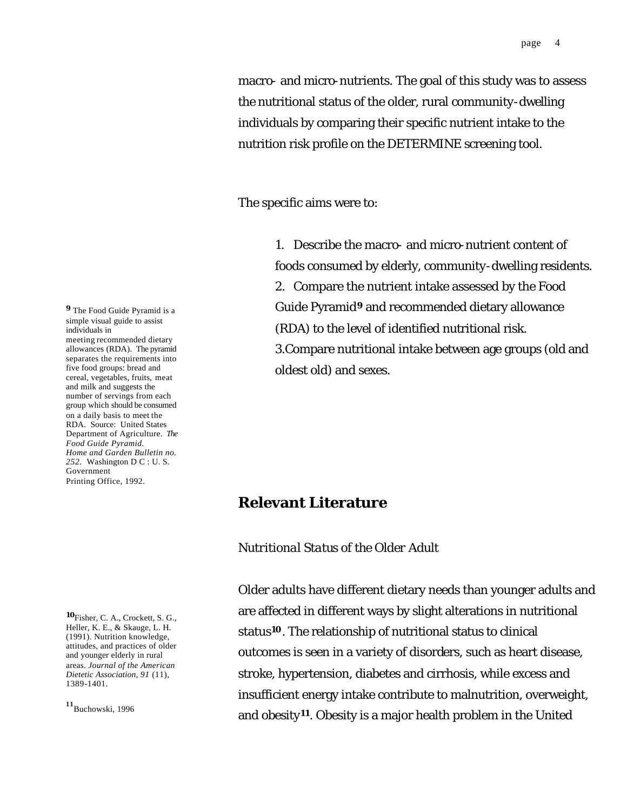macro- and micro-nutrients. The goal of this study was to assess the nutritional status of the older, rural community-dwelling individuals by comparing their specific nutrient intake to the nutrition risk profile on the DETERMINE screening tool.

The specific aims were to:

1. Describe the macro- and micro-nutrient content of foods consumed by elderly, community-dwelling residents. 2. Compare the nutrient intake assessed by the Food Guide Pyramid**<sup>9</sup>** and recommended dietary allowance (RDA) to the level of identified nutritional risk. 3.Compare nutritional intake between age groups (old and oldest old) and sexes.

# **Relevant Literature**

# *Nutritional Status of the Older Adult*

Older adults have different dietary needs than younger adults and are affected in different ways by slight alterations in nutritional status**10**. The relationship of nutritional status to clinical outcomes is seen in a variety of disorders, such as heart disease, stroke, hypertension, diabetes and cirrhosis, while excess and insufficient energy intake contribute to malnutrition, overweight, and obesity**11**. Obesity is a major health problem in the United

**<sup>9</sup>** The Food Guide Pyramid is a simple visual guide to assist individuals in meeting recommended dietary allowances (RDA). The pyramid separates the requirements into five food groups: bread and cereal, vegetables, fruits, meat and milk and suggests the number of servings from each group which should be consumed on a daily basis to meet the RDA. Source: United States Department of Agriculture. *The Food Guide Pyramid. Home and Garden Bulletin no. 252.* Washington D C : U. S. Government Printing Office, 1992.

**<sup>10</sup>**Fisher, C. A., Crockett, S. G., Heller, K. E., & Skauge, L. H. (1991). Nutrition knowledge, attitudes, and practices of older and younger elderly in rural areas. *Journal of the American Dietetic Association, 91* (11), 1389-1401.

**<sup>11</sup>**Buchowski, 1996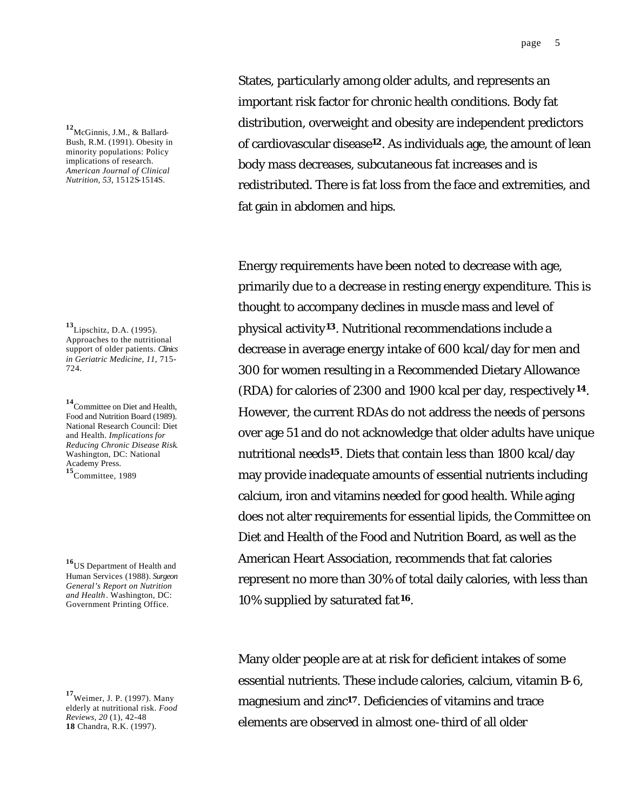**<sup>12</sup>**McGinnis, J.M., & Ballard-Bush, R.M. (1991). Obesity in minority populations: Policy implications of research. *American Journal of Clinical Nutrition, 53,* 1512S-1514S.

**<sup>13</sup>**Lipschitz, D.A. (1995). Approaches to the nutritional support of older patients. *Clinics in Geriatric Medicine, 11*, 715- 724.

**<sup>14</sup>**Committee on Diet and Health, Food and Nutrition Board (1989). National Research Council: Diet and Health. *Implications for Reducing Chronic Disease Risk*. Washington, DC: National Academy Press. **<sup>15</sup>**Committee, 1989

**<sup>16</sup>**US Department of Health and Human Services (1988). *Surgeon General's Report on Nutrition and Health*. Washington, DC: Government Printing Office.

**<sup>17</sup>**Weimer, J. P. (1997). Many elderly at nutritional risk. *Food Reviews, 20* (1), 42-48 **18** Chandra, R.K. (1997).

States, particularly among older adults, and represents an important risk factor for chronic health conditions. Body fat distribution, overweight and obesity are independent predictors of cardiovascular disease**12**. As individuals age, the amount of lean body mass decreases, subcutaneous fat increases and is redistributed. There is fat loss from the face and extremities, and fat gain in abdomen and hips.

Energy requirements have been noted to decrease with age, primarily due to a decrease in resting energy expenditure. This is thought to accompany declines in muscle mass and level of physical activity**13**. Nutritional recommendations include a decrease in average energy intake of 600 kcal/day for men and 300 for women resulting in a Recommended Dietary Allowance (RDA) for calories of 2300 and 1900 kcal per day, respectively **<sup>14</sup>**. However, the current RDAs do not address the needs of persons over age 51 and do not acknowledge that older adults have unique nutritional needs**15**. Diets that contain less than 1800 kcal/day may provide inadequate amounts of essential nutrients including calcium, iron and vitamins needed for good health. While aging does not alter requirements for essential lipids, the Committee on Diet and Health of the Food and Nutrition Board, as well as the American Heart Association, recommends that fat calories represent no more than 30% of total daily calories, with less than 10% supplied by saturated fat**16**.

Many older people are at at risk for deficient intakes of some essential nutrients. These include calories, calcium, vitamin B-6, magnesium and zinc**17**. Deficiencies of vitamins and trace elements are observed in almost one-third of all older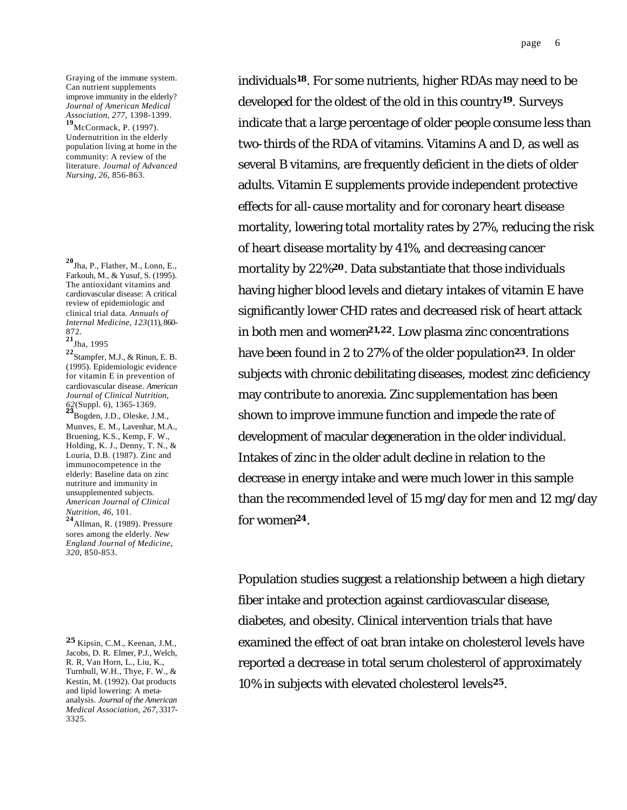Graying of the immune system. Can nutrient supplements improve immunity in the elderly? *Journal of American Medical Association, 277*, 1398-1399.

**<sup>19</sup>**McCormack, P. (1997). Undernutrition in the elderly population living at home in the community: A review of the literature. *Journal of Advanced Nursing, 26*, 856-863.

**<sup>20</sup>**Jha, P., Flather, M., Lonn, E., Farkouh, M., & Yusuf, S. (1995). The antioxidant vitamins and cardiovascular disease: A critical review of epidemiologic and clinical trial data. *Annuals of Internal Medicine, 123*(11), 860- 872.

**<sup>21</sup>**Jha, 1995

**<sup>22</sup>**Stampfer, M.J., & Rinun, E. B. (1995). Epidemiologic evidence for vitamin E in prevention of cardiovascular disease. *American Journal of Clinical Nutrition, 62*(Suppl. 6), 1365-1369. **<sup>23</sup>**Bogden, J.D., Oleske, J.M.,

Munves, E. M., Lavenhar, M.A., Bruening, K.S., Kemp, F. W., Holding, K. J., Denny, T. N., & Louria, D.B. (1987). Zinc and immunocompetence in the elderly: Baseline data on zinc nutriture and immunity in unsupplemented subjects. *American Journal of Clinical Nutrition, 46,* 101.

**<sup>24</sup>**Allman, R. (1989). Pressure sores among the elderly. *New England Journal of Medicine, 320,* 850-853.

**<sup>25</sup>** Kipsin, C.M., Keenan, J.M., Jacobs, D. R. Elmer, P.J., Welch, R. R, Van Horn, L., Liu, K., Turnbull, W.H., Thye, F. W., & Kestin, M. (1992). Oat products and lipid lowering: A metaanalysis. *Journal of the American Medical Association, 267*, 3317- 3325.

individuals**18**. For some nutrients, higher RDAs may need to be developed for the oldest of the old in this country**19**. Surveys indicate that a large percentage of older people consume less than two-thirds of the RDA of vitamins. Vitamins A and D, as well as several B vitamins, are frequently deficient in the diets of older adults. Vitamin E supplements provide independent protective effects for all-cause mortality and for coronary heart disease mortality, lowering total mortality rates by 27%, reducing the risk of heart disease mortality by 41%, and decreasing cancer mortality by 22%**20**. Data substantiate that those individuals having higher blood levels and dietary intakes of vitamin E have significantly lower CHD rates and decreased risk of heart attack in both men and women**21,22**. Low plasma zinc concentrations have been found in 2 to 27% of the older population**23**. In older subjects with chronic debilitating diseases, modest zinc deficiency may contribute to anorexia. Zinc supplementation has been shown to improve immune function and impede the rate of development of macular degeneration in the older individual. Intakes of zinc in the older adult decline in relation to the decrease in energy intake and were much lower in this sample than the recommended level of 15 mg/day for men and 12 mg/day for women**24**.

Population studies suggest a relationship between a high dietary fiber intake and protection against cardiovascular disease, diabetes, and obesity. Clinical intervention trials that have examined the effect of oat bran intake on cholesterol levels have reported a decrease in total serum cholesterol of approximately 10% in subjects with elevated cholesterol levels**25**.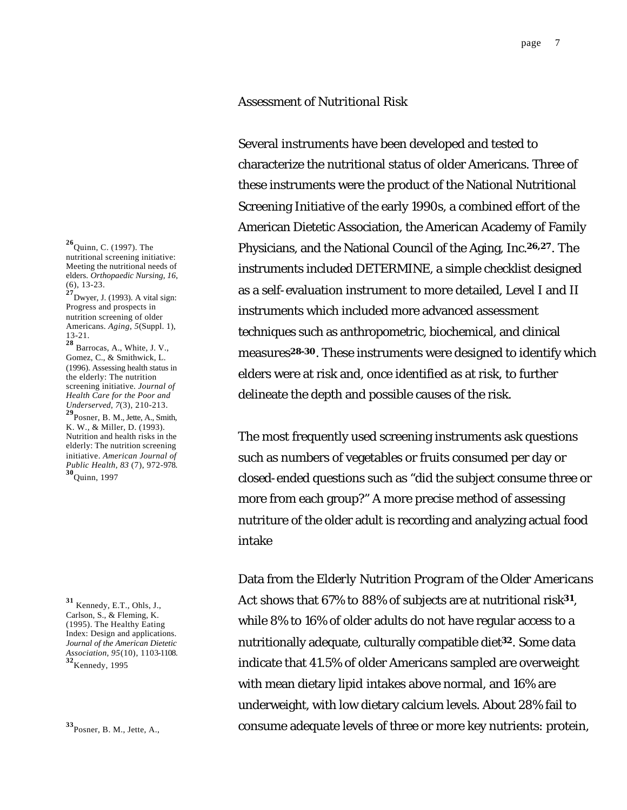#### *Assessment of Nutritional Risk*

Several instruments have been developed and tested to characterize the nutritional status of older Americans. Three of these instruments were the product of the National Nutritional Screening Initiative of the early 1990s, a combined effort of the American Dietetic Association, the American Academy of Family Physicians, and the National Council of the Aging, Inc.**26,27**. The instruments included DETERMINE, a simple checklist designed as a self-evaluation instrument to more detailed, Level I and II instruments which included more advanced assessment techniques such as anthropometric, biochemical, and clinical measures**28-30**. These instruments were designed to identify which elders were at risk and, once identified as at risk, to further delineate the depth and possible causes of the risk.

The most frequently used screening instruments ask questions such as numbers of vegetables or fruits consumed per day or closed-ended questions such as "did the subject consume three or more from each group?" A more precise method of assessing nutriture of the older adult is recording and analyzing actual food intake

Data from the *Elderly Nutrition Program of the Older Americans Act* shows that 67% to 88% of subjects are at nutritional risk**31**, while 8% to 16% of older adults do not have regular access to a nutritionally adequate, culturally compatible diet**32**. Some data indicate that 41.5% of older Americans sampled are overweight with mean dietary lipid intakes above normal, and 16% are underweight, with low dietary calcium levels. About 28% fail to consume adequate levels of three or more key nutrients: protein,

**<sup>26</sup>**Quinn, C. (1997). The nutritional screening initiative: Meeting the nutritional needs of elders. *Orthopaedic Nursing, 16*, (6), 13-23.

**<sup>27</sup>**Dwyer, J. (1993). A vital sign: Progress and prospects in nutrition screening of older Americans. *Aging, 5*(Suppl. 1), 13-21.

**<sup>28</sup>** Barrocas, A., White, J. V., Gomez, C., & Smithwick, L. (1996). Assessing health status in the elderly: The nutrition screening initiative. *Journal of Health Care for the Poor and Underserved, 7*(3), 210-213.

**<sup>29</sup>**Posner, B. M., Jette, A., Smith, K. W., & Miller, D. (1993). Nutrition and health risks in the elderly: The nutrition screening initiative. *American Journal of Public Health, 83* (7), 972-978. **<sup>30</sup>**Quinn, 1997

**<sup>31</sup>** Kennedy, E.T., Ohls, J., Carlson, S., & Fleming, K. (1995). The Healthy Eating Index: Design and applications. *Journal of the American Dietetic Association, 95*(10), 1103-1108. **<sup>32</sup>**Kennedy, 1995

**<sup>33</sup>**Posner, B. M., Jette, A.,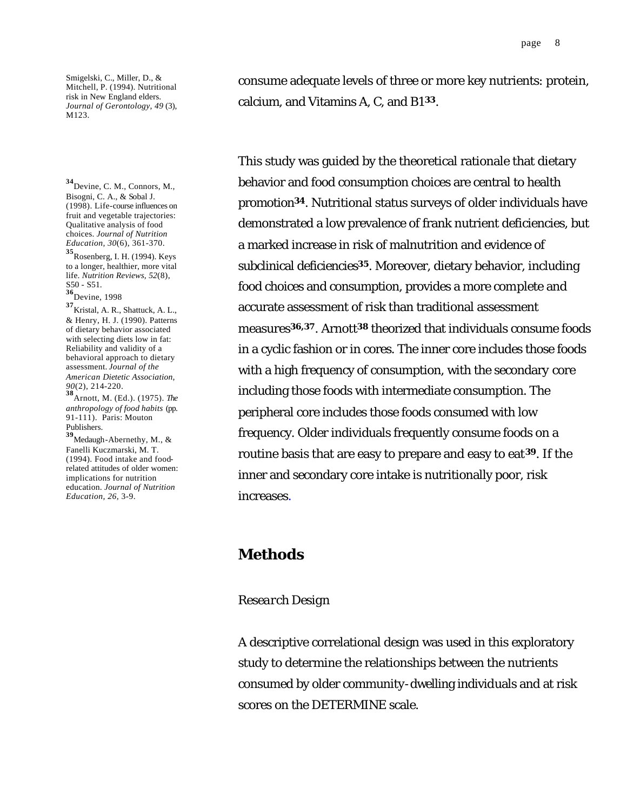Smigelski, C., Miller, D., & Mitchell, P. (1994). Nutritional risk in New England elders. *Journal of Gerontology, 49* (3), M123.

**<sup>34</sup>**Devine, C. M., Connors, M., Bisogni, C. A., & Sobal J. (1998). Life-course influences on fruit and vegetable trajectories: Qualitative analysis of food choices. *Journal of Nutrition Education, 30*(6), 361-370.

**<sup>35</sup>**Rosenberg, I. H. (1994). Keys to a longer, healthier, more vital life. *Nutrition Reviews, 52*(8), S50 - S51.

**<sup>36</sup>**Devine, 1998

**<sup>37</sup>**Kristal, A. R., Shattuck, A. L., & Henry, H. J. (1990). Patterns of dietary behavior associated with selecting diets low in fat: Reliability and validity of a behavioral approach to dietary assessment. *Journal of the American Dietetic Association, 90*(2), 214-220.

**<sup>38</sup>**Arnott, M. (Ed.). (1975). *The anthropology of food habits* (pp. 91-111). Paris: Mouton Publishers.

**<sup>39</sup>**Medaugh-Abernethy, M., & Fanelli Kuczmarski, M. T. (1994). Food intake and foodrelated attitudes of older women: implications for nutrition education. *Journal of Nutrition Education, 26*, 3-9.

consume adequate levels of three or more key nutrients: protein, calcium, and Vitamins A, C, and B1 **<sup>33</sup>**.

This study was guided by the theoretical rationale that dietary behavior and food consumption choices are central to health promotion**34**. Nutritional status surveys of older individuals have demonstrated a low prevalence of frank nutrient deficiencies, but a marked increase in risk of malnutrition and evidence of subclinical deficiencies**35**. Moreover, dietary behavior, including food choices and consumption, provides a more complete and accurate assessment of risk than traditional assessment measures**36,37**. Arnott**38** theorized that individuals consume foods in a cyclic fashion or in cores. The inner core includes those foods with a high frequency of consumption, with the secondary core including those foods with intermediate consumption. The peripheral core includes those foods consumed with low frequency. Older individuals frequently consume foods on a routine basis that are easy to prepare and easy to eat**39**. If the inner and secondary core intake is nutritionally poor, risk increases.

# **Methods**

#### *Research Design*

A descriptive correlational design was used in this exploratory study to determine the relationships between the nutrients consumed by older community-dwelling individuals and at risk scores on the DETERMINE scale.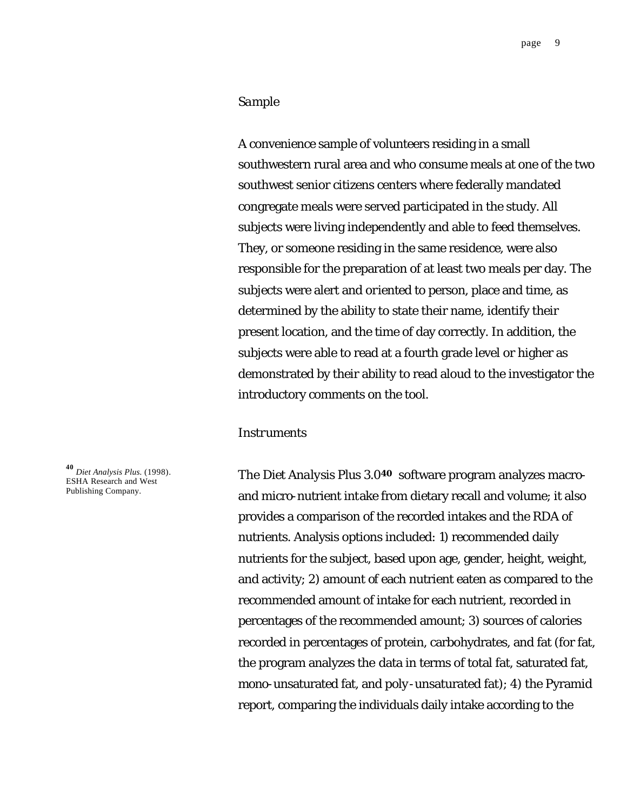#### *Sample*

A convenience sample of volunteers residing in a small southwestern rural area and who consume meals at one of the two southwest senior citizens centers where federally mandated congregate meals were served participated in the study. All subjects were living independently and able to feed themselves. They, or someone residing in the same residence, were also responsible for the preparation of at least two meals per day. The subjects were alert and oriented to person, place and time, as determined by the ability to state their name, identify their present location, and the time of day correctly. In addition, the subjects were able to read at a fourth grade level or higher as demonstrated by their ability to read aloud to the investigator the introductory comments on the tool.

#### *Instruments*

The *Diet Analysis Plus 3.0***40** software program analyzes macroand micro-nutrient intake from dietary recall and volume; it also provides a comparison of the recorded intakes and the RDA of nutrients. Analysis options included: 1) recommended daily nutrients for the subject, based upon age, gender, height, weight, and activity; 2) amount of each nutrient eaten as compared to the recommended amount of intake for each nutrient, recorded in percentages of the recommended amount; 3) sources of calories recorded in percentages of protein, carbohydrates, and fat (for fat, the program analyzes the data in terms of total fat, saturated fat, mono-unsaturated fat, and poly-unsaturated fat); 4) the Pyramid report, comparing the individuals daily intake according to the

**<sup>40</sup>** *Diet Analysis Plus.* (1998). ESHA Research and West Publishing Company.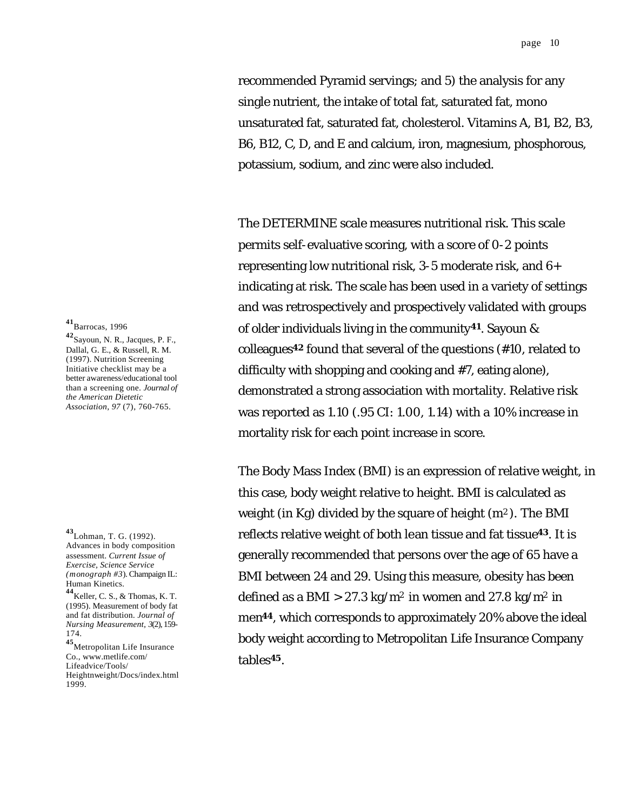recommended Pyramid servings; and 5) the analysis for any single nutrient, the intake of total fat, saturated fat, mono unsaturated fat, saturated fat, cholesterol. Vitamins A, B1, B2, B3, B6, B12, C, D, and E and calcium, iron, magnesium, phosphorous, potassium, sodium, and zinc were also included.

The DETERMINE scale measures nutritional risk. This scale permits self-evaluative scoring, with a score of 0-2 points representing low nutritional risk, 3-5 moderate risk, and 6+ indicating at risk. The scale has been used in a variety of settings and was retrospectively and prospectively validated with groups of older individuals living in the community**41**. Sayoun & colleagues**42** found that several of the questions (#10, related to difficulty with shopping and cooking and #7, eating alone), demonstrated a strong association with mortality. Relative risk was reported as 1.10 (.95 CI: 1.00, 1.14) with a 10% increase in mortality risk for each point increase in score.

The Body Mass Index (BMI) is an expression of relative weight, in this case, body weight relative to height. BMI is calculated as weight (in Kg) divided by the square of height  $(m^2)$ . The BMI reflects relative weight of both lean tissue and fat tissue**43**. It is generally recommended that persons over the age of 65 have a BMI between 24 and 29. Using this measure, obesity has been defined as a BMI  $>$  27.3 kg/m<sup>2</sup> in women and 27.8 kg/m<sup>2</sup> in men**44**, which corresponds to approximately 20% above the ideal body weight according to Metropolitan Life Insurance Company tables**45**.

**<sup>41</sup>**Barrocas, 1996

**<sup>42</sup>**Sayoun, N. R., Jacques, P. F., Dallal, G. E., & Russell, R. M. (1997). Nutrition Screening Initiative checklist may be a better awareness/educational tool than a screening one. *Journal of the American Dietetic Association, 97* (7), 760-765.

**<sup>45</sup>**Metropolitan Life Insurance Co., www.metlife.com/ Lifeadvice/Tools/ Heightnweight/Docs/index.html 1999.

**<sup>43</sup>**Lohman, T. G. (1992). Advances in body composition assessment. *Current Issue of Exercise, Science Service (monograph #3*). Champaign IL: Human Kinetics.

**<sup>44</sup>**Keller, C. S., & Thomas, K. T. (1995). Measurement of body fat and fat distribution. *Journal of Nursing Measurement, 3*(2), 159- 174.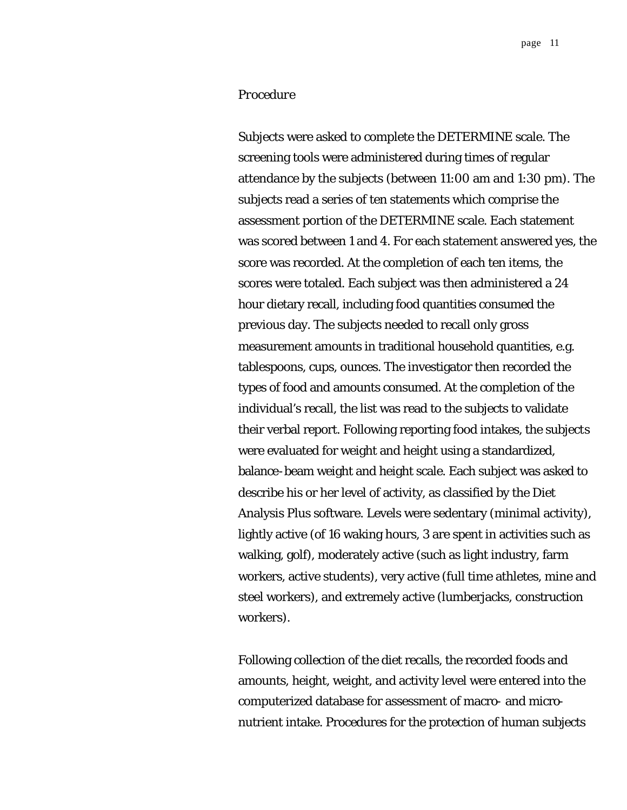### *Procedure*

Subjects were asked to complete the DETERMINE scale. The screening tools were administered during times of regular attendance by the subjects (between 11:00 am and 1:30 pm). The subjects read a series of ten statements which comprise the assessment portion of the DETERMINE scale. Each statement was scored between 1 and 4. For each statement answered yes, the score was recorded. At the completion of each ten items, the scores were totaled. Each subject was then administered a 24 hour dietary recall, including food quantities consumed the previous day. The subjects needed to recall only gross measurement amounts in traditional household quantities, e.g. tablespoons, cups, ounces. The investigator then recorded the types of food and amounts consumed. At the completion of the individual's recall, the list was read to the subjects to validate their verbal report. Following reporting food intakes, the subjects were evaluated for weight and height using a standardized, balance-beam weight and height scale. Each subject was asked to describe his or her level of activity, as classified by the Diet Analysis Plus software. Levels were sedentary (minimal activity), lightly active (of 16 waking hours, 3 are spent in activities such as walking, golf), moderately active (such as light industry, farm workers, active students), very active (full time athletes, mine and steel workers), and extremely active (lumberjacks, construction workers).

Following collection of the diet recalls, the recorded foods and amounts, height, weight, and activity level were entered into the computerized database for assessment of macro- and micronutrient intake. Procedures for the protection of human subjects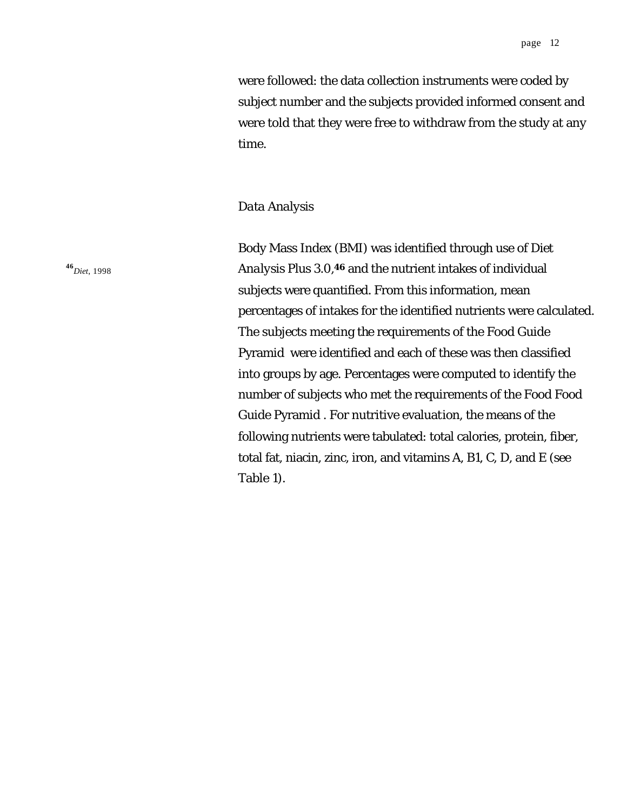were followed: the data collection instruments were coded by subject number and the subjects provided informed consent and were told that they were free to withdraw from the study at any time.

#### *Data Analysis*

Body Mass Index (BMI) was identified through use of *Diet Analysis Plus 3.0*, **<sup>46</sup>** and the nutrient intakes of individual subjects were quantified. From this information, mean percentages of intakes for the identified nutrients were calculated. The subjects meeting the requirements of the Food Guide Pyramid were identified and each of these was then classified into groups by age. Percentages were computed to identify the number of subjects who met the requirements of the Food Food Guide Pyramid . For nutritive evaluation, the means of the following nutrients were tabulated: total calories, protein, fiber, total fat, niacin, zinc, iron, and vitamins A, B1, C, D, and E (see Table 1).

**<sup>46</sup>***Diet*, 1998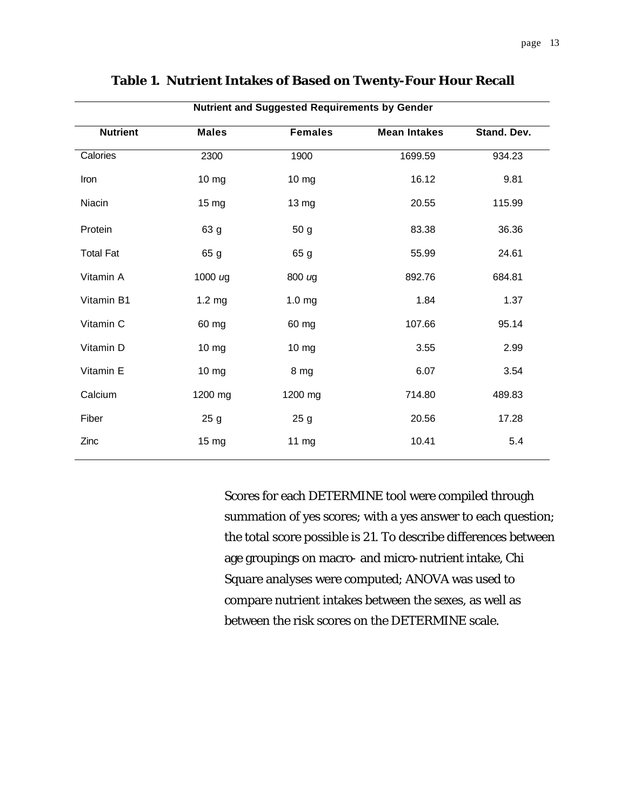| <b>Nutrient and Suggested Requirements by Gender</b> |                   |                   |                     |             |
|------------------------------------------------------|-------------------|-------------------|---------------------|-------------|
| <b>Nutrient</b>                                      | <b>Males</b>      | <b>Females</b>    | <b>Mean Intakes</b> | Stand. Dev. |
| Calories                                             | 2300              | 1900              | 1699.59             | 934.23      |
| Iron                                                 | 10 mg             | 10 mg             | 16.12               | 9.81        |
| Niacin                                               | 15 <sub>mg</sub>  | 13 mg             | 20.55               | 115.99      |
| Protein                                              | 63 g              | 50 <sub>g</sub>   | 83.38               | 36.36       |
| <b>Total Fat</b>                                     | 65 g              | 65 g              | 55.99               | 24.61       |
| Vitamin A                                            | 1000 $\mu$ g      | 800 ug            | 892.76              | 684.81      |
| Vitamin B1                                           | 1.2 <sub>mg</sub> | 1.0 <sub>mg</sub> | 1.84                | 1.37        |
| Vitamin C                                            | 60 mg             | 60 mg             | 107.66              | 95.14       |
| Vitamin D                                            | 10 mg             | $10 \, mg$        | 3.55                | 2.99        |
| Vitamin E                                            | 10 mg             | 8 mg              | 6.07                | 3.54        |
| Calcium                                              | 1200 mg           | 1200 mg           | 714.80              | 489.83      |
| Fiber                                                | 25 <sub>g</sub>   | 25 <sub>g</sub>   | 20.56               | 17.28       |
| Zinc                                                 | 15 mg             | 11 mg             | 10.41               | 5.4         |

### **Table 1. Nutrient Intakes of Based on Twenty-Four Hour Recall**

Scores for each DETERMINE tool were compiled through summation of yes scores; with a yes answer to each question; the total score possible is 21. To describe differences between age groupings on macro- and micro-nutrient intake, Chi Square analyses were computed; ANOVA was used to compare nutrient intakes between the sexes, as well as between the risk scores on the DETERMINE scale.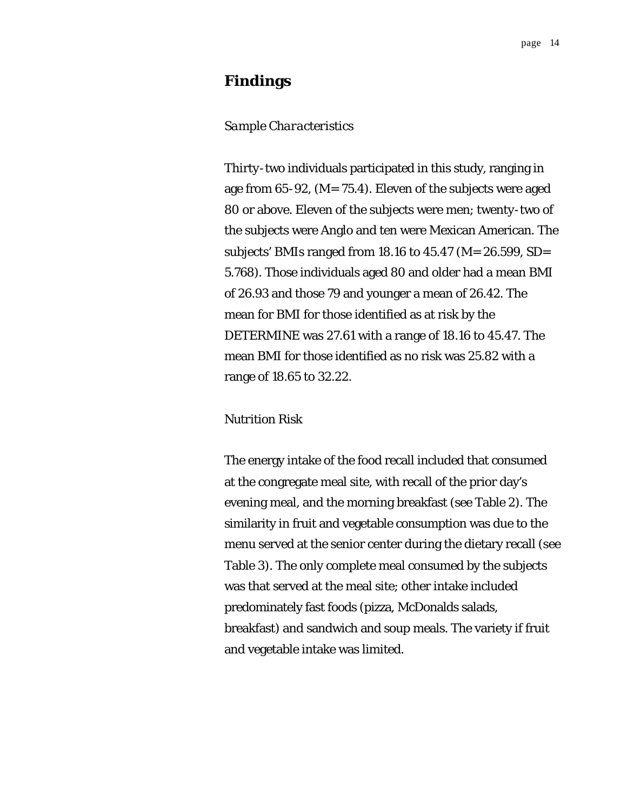# **Findings**

#### *Sample Characteristics*

Thirty-two individuals participated in this study, ranging in age from 65-92, (*M*= 75.4). Eleven of the subjects were aged 80 or above. Eleven of the subjects were men; twenty-two of the subjects were Anglo and ten were Mexican American. The subjects' BMIs ranged from 18.16 to 45.47 (*M*= 26.599, SD= 5.768). Those individuals aged 80 and older had a mean BMI of 26.93 and those 79 and younger a mean of 26.42. The mean for BMI for those identified as at risk by the DETERMINE was 27.61 with a range of 18.16 to 45.47. The mean BMI for those identified as no risk was 25.82 with a range of 18.65 to 32.22.

#### *Nutrition Risk*

The energy intake of the food recall included that consumed at the congregate meal site, with recall of the prior day's evening meal, and the morning breakfast (see Table 2). The similarity in fruit and vegetable consumption was due to the menu served at the senior center during the dietary recall (see Table 3). The only complete meal consumed by the subjects was that served at the meal site; other intake included predominately fast foods (pizza, McDonalds salads, breakfast) and sandwich and soup meals. The variety if fruit and vegetable intake was limited.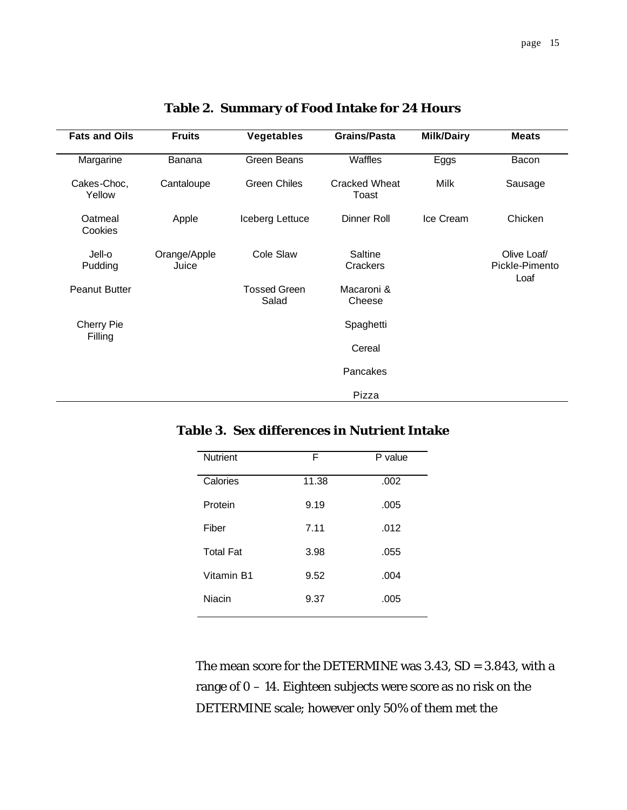| <b>Fats and Oils</b>  | <b>Fruits</b>         | <b>Vegetables</b>            | <b>Grains/Pasta</b>           | <b>Milk/Dairy</b> | <b>Meats</b>                          |  |
|-----------------------|-----------------------|------------------------------|-------------------------------|-------------------|---------------------------------------|--|
| Margarine             | <b>Banana</b>         | Green Beans                  | Waffles                       | Eggs              | Bacon                                 |  |
| Cakes-Choc,<br>Yellow | Cantaloupe            | <b>Green Chiles</b>          | <b>Cracked Wheat</b><br>Toast | Milk              | Sausage                               |  |
| Oatmeal<br>Cookies    | Apple                 | Iceberg Lettuce              | Dinner Roll                   | Ice Cream         | Chicken                               |  |
| Jell-o<br>Pudding     | Orange/Apple<br>Juice | Cole Slaw                    | Saltine<br>Crackers           |                   | Olive Loaf/<br>Pickle-Pimento<br>Loaf |  |
| <b>Peanut Butter</b>  |                       | <b>Tossed Green</b><br>Salad | Macaroni &<br>Cheese          |                   |                                       |  |
| Cherry Pie<br>Filling |                       | Spaghetti                    |                               |                   |                                       |  |
|                       |                       |                              | Cereal                        |                   |                                       |  |
|                       |                       |                              | Pancakes                      |                   |                                       |  |
|                       |                       |                              | Pizza                         |                   |                                       |  |

# **Table 2. Summary of Food Intake for 24 Hours**

### **Table 3. Sex differences in Nutrient Intake**

| <b>Nutrient</b>  | F     | P value |
|------------------|-------|---------|
| Calories         | 11.38 | .002    |
| Protein          | 9.19  | .005    |
| Fiber            | 7.11  | .012    |
| <b>Total Fat</b> | 3.98  | .055    |
| Vitamin B1       | 9.52  | .004    |
| <b>Niacin</b>    | 9.37  | .005    |
|                  |       |         |

The mean score for the DETERMINE was 3.43, SD = 3.843, with a range of 0 – 14. Eighteen subjects were score as no risk on the DETERMINE scale; however only 50% of them met the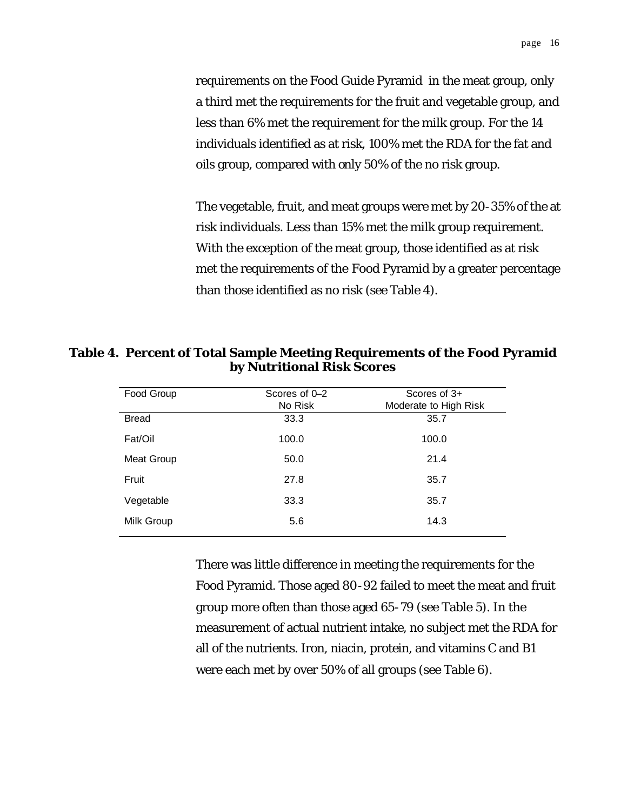requirements on the Food Guide Pyramid in the meat group, only a third met the requirements for the fruit and vegetable group, and less than 6% met the requirement for the milk group. For the 14 individuals identified as at risk, 100% met the RDA for the fat and oils group, compared with only 50% of the no risk group.

The vegetable, fruit, and meat groups were met by 20-35% of the at risk individuals. Less than 15% met the milk group requirement. With the exception of the meat group, those identified as at risk met the requirements of the Food Pyramid by a greater percentage than those identified as no risk (see Table 4).

**Table 4. Percent of Total Sample Meeting Requirements of the Food Pyramid by Nutritional Risk Scores**

| Food Group   | Scores of 0-2 | Scores of $3+$        |
|--------------|---------------|-----------------------|
|              | No Risk       | Moderate to High Risk |
| <b>Bread</b> | 33.3          | 35.7                  |
| Fat/Oil      | 100.0         | 100.0                 |
| Meat Group   | 50.0          | 21.4                  |
| Fruit        | 27.8          | 35.7                  |
| Vegetable    | 33.3          | 35.7                  |
| Milk Group   | 5.6           | 14.3                  |
|              |               |                       |

There was little difference in meeting the requirements for the Food Pyramid. Those aged 80-92 failed to meet the meat and fruit group more often than those aged 65-79 (see Table 5). In the measurement of actual nutrient intake, no subject met the RDA for all of the nutrients. Iron, niacin, protein, and vitamins C and B1 were each met by over 50% of all groups (see Table 6).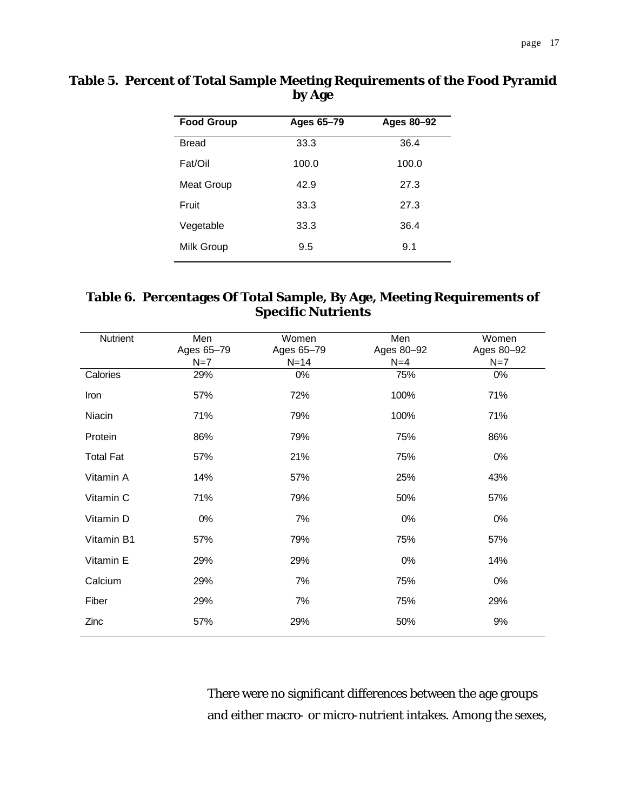| Table 5. Percent of Total Sample Meeting Requirements of the Food Pyramid |  |
|---------------------------------------------------------------------------|--|
| by Age                                                                    |  |

| <b>Food Group</b> | Ages 65–79 | Ages 80-92 |
|-------------------|------------|------------|
| <b>Bread</b>      | 33.3       | 36.4       |
| Fat/Oil           | 100.0      | 100.0      |
| Meat Group        | 42.9       | 27.3       |
| Fruit             | 33.3       | 27.3       |
| Vegetable         | 33.3       | 36.4       |
| Milk Group        | 9.5        | 9.1        |

# **Table 6. Percentages Of Total Sample, By Age, Meeting Requirements of Specific Nutrients**

| Nutrient         | Men<br>Ages 65-79 | Women<br>Ages 65-79 | Men<br>Ages 80-92 | Women<br>Ages 80-92 |
|------------------|-------------------|---------------------|-------------------|---------------------|
|                  | $N=7$             | $N=14$              | $N=4$             | $N=7$               |
| Calories         | 29%               | 0%                  | 75%               | $0\%$               |
| Iron             | 57%               | 72%                 | 100%              | 71%                 |
| Niacin           | 71%               | 79%                 | 100%              | 71%                 |
| Protein          | 86%               | 79%                 | 75%               | 86%                 |
| <b>Total Fat</b> | 57%               | 21%                 | 75%               | 0%                  |
| Vitamin A        | 14%               | 57%                 | 25%               | 43%                 |
| Vitamin C        | 71%               | 79%                 | 50%               | 57%                 |
| Vitamin D        | 0%                | 7%                  | 0%                | 0%                  |
| Vitamin B1       | 57%               | 79%                 | 75%               | 57%                 |
| Vitamin E        | 29%               | 29%                 | 0%                | 14%                 |
| Calcium          | 29%               | 7%                  | 75%               | 0%                  |
| Fiber            | 29%               | 7%                  | 75%               | 29%                 |
| Zinc             | 57%               | 29%                 | 50%               | 9%                  |

There were no significant differences between the age groups and either macro- or micro-nutrient intakes. Among the sexes,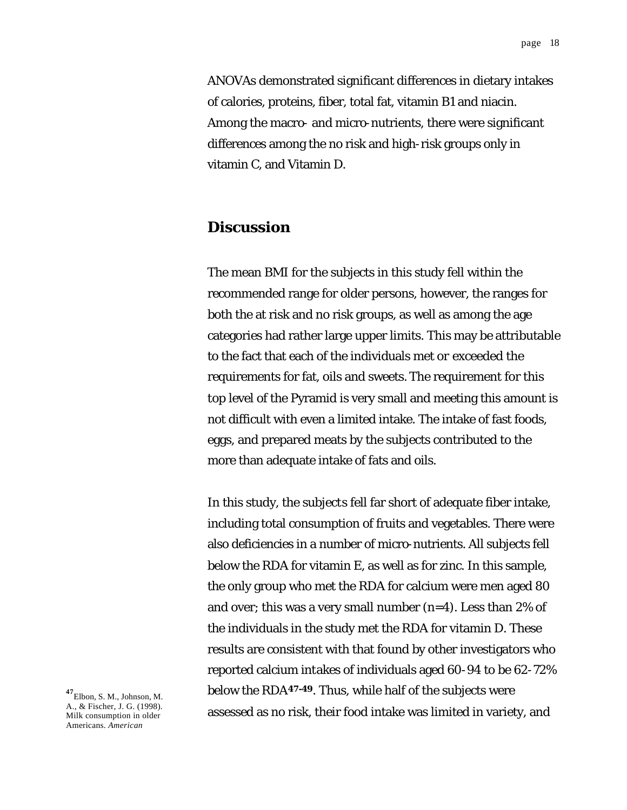ANOVAs demonstrated significant differences in dietary intakes of calories, proteins, fiber, total fat, vitamin B1 and niacin. Among the macro- and micro-nutrients, there were significant differences among the no risk and high-risk groups only in vitamin C, and Vitamin D.

# **Discussion**

The mean BMI for the subjects in this study fell within the recommended range for older persons, however, the ranges for both the at risk and no risk groups, as well as among the age categories had rather large upper limits. This may be attributable to the fact that each of the individuals met or exceeded the requirements for fat, oils and sweets. The requirement for this top level of the Pyramid is very small and meeting this amount is not difficult with even a limited intake. The intake of fast foods, eggs, and prepared meats by the subjects contributed to the more than adequate intake of fats and oils.

In this study, the subjects fell far short of adequate fiber intake, including total consumption of fruits and vegetables. There were also deficiencies in a number of micro-nutrients. All subjects fell below the RDA for vitamin E, as well as for zinc. In this sample, the only group who met the RDA for calcium were men aged 80 and over; this was a very small number (n=4). Less than 2% of the individuals in the study met the RDA for vitamin D. These results are consistent with that found by other investigators who reported calcium intakes of individuals aged 60-94 to be 62-72% below the RDA**47-49**. Thus, while half of the subjects were assessed as no risk, their food intake was limited in variety, and

**<sup>47</sup>**Elbon, S. M., Johnson, M. A., & Fischer, J. G. (1998). Milk consumption in older Americans. *American*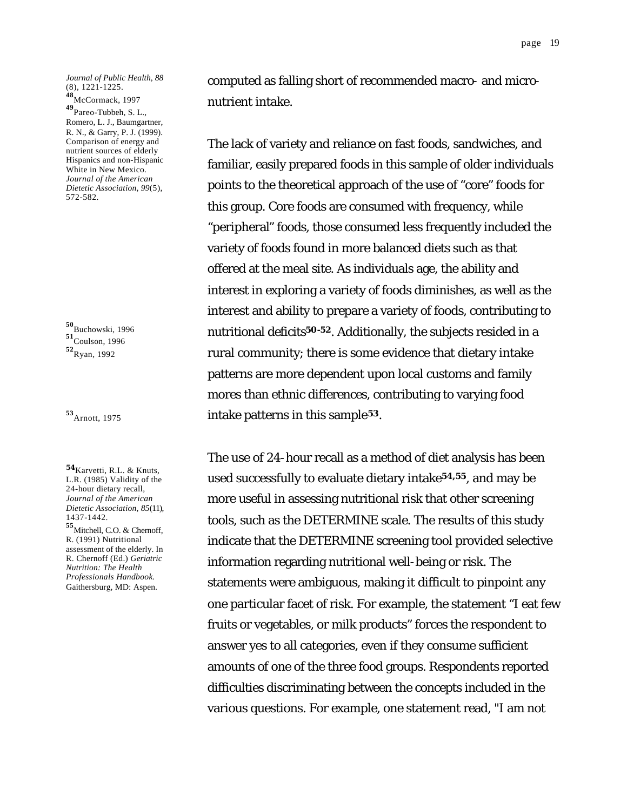*Journal of Public Health, 88* (8), 1221-1225. **<sup>48</sup>**McCormack, 1997

**<sup>49</sup>**Pareo-Tubbeh, S. L., Romero, L. J., Baumgartner, R. N., & Garry, P. J. (1999). Comparison of energy and nutrient sources of elderly Hispanics and non-Hispanic White in New Mexico. *Journal of the American Dietetic Association, 99*(5), 572-582.

**<sup>50</sup>**Buchowski, 1996 **<sup>51</sup>**Coulson, 1996 **<sup>52</sup>**Ryan, 1992

**<sup>53</sup>**Arnott, 1975

**<sup>54</sup>**Karvetti, R.L. & Knuts, L.R. (1985) Validity of the 24-hour dietary recall, *Journal of the American Dietetic Association, 85*(11), 1437-1442. **<sup>55</sup>**Mitchell, C.O. & Chernoff,

R. (1991) Nutritional assessment of the elderly. In R. Chernoff (Ed.) *Geriatric Nutrition: The Health Professionals Handbook.* Gaithersburg, MD: Aspen.

computed as falling short of recommended macro- and micronutrient intake.

The lack of variety and reliance on fast foods, sandwiches, and familiar, easily prepared foods in this sample of older individuals points to the theoretical approach of the use of "core" foods for this group. Core foods are consumed with frequency, while "peripheral" foods, those consumed less frequently included the variety of foods found in more balanced diets such as that offered at the meal site. As individuals age, the ability and interest in exploring a variety of foods diminishes, as well as the interest and ability to prepare a variety of foods, contributing to nutritional deficits**50-52**. Additionally, the subjects resided in a rural community; there is some evidence that dietary intake patterns are more dependent upon local customs and family mores than ethnic differences, contributing to varying food intake patterns in this sample**53**.

The use of 24-hour recall as a method of diet analysis has been used successfully to evaluate dietary intake **54,55**, and may be more useful in assessing nutritional risk that other screening tools, such as the DETERMINE scale. The results of this study indicate that the DETERMINE screening tool provided selective information regarding nutritional well-being or risk. The statements were ambiguous, making it difficult to pinpoint any one particular facet of risk. For example, the statement "I eat few fruits or vegetables, or milk products" forces the respondent to answer yes to all categories, even if they consume sufficient amounts of one of the three food groups. Respondents reported difficulties discriminating between the concepts included in the various questions. For example, one statement read, "I am not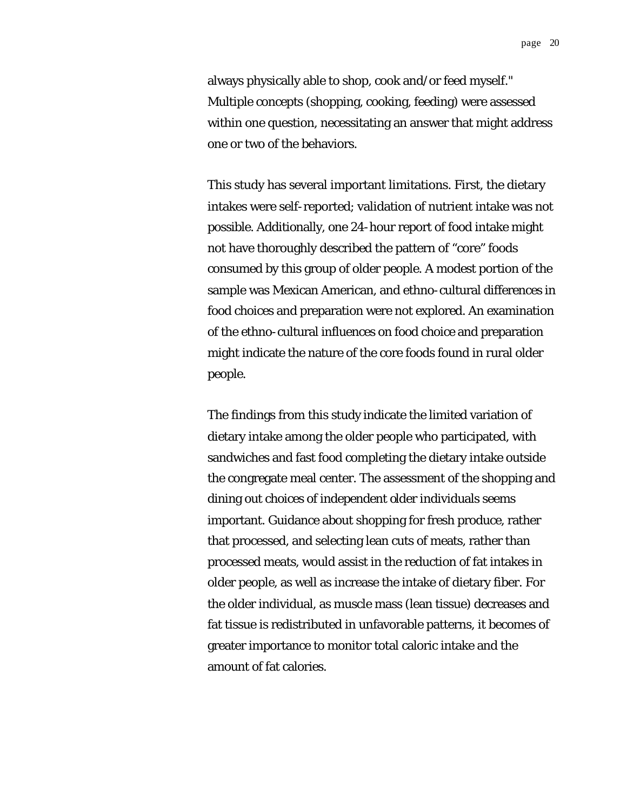page 20

always physically able to shop, cook and/or feed myself." Multiple concepts (shopping, cooking, feeding) were assessed within one question, necessitating an answer that might address one or two of the behaviors.

This study has several important limitations. First, the dietary intakes were self-reported; validation of nutrient intake was not possible. Additionally, one 24-hour report of food intake might not have thoroughly described the pattern of "core" foods consumed by this group of older people. A modest portion of the sample was Mexican American, and ethno-cultural differences in food choices and preparation were not explored. An examination of the ethno-cultural influences on food choice and preparation might indicate the nature of the core foods found in rural older people.

The findings from this study indicate the limited variation of dietary intake among the older people who participated, with sandwiches and fast food completing the dietary intake outside the congregate meal center. The assessment of the shopping and dining out choices of independent older individuals seems important. Guidance about shopping for fresh produce, rather that processed, and selecting lean cuts of meats, rather than processed meats, would assist in the reduction of fat intakes in older people, as well as increase the intake of dietary fiber. For the older individual, as muscle mass (lean tissue) decreases and fat tissue is redistributed in unfavorable patterns, it becomes of greater importance to monitor total caloric intake and the amount of fat calories.